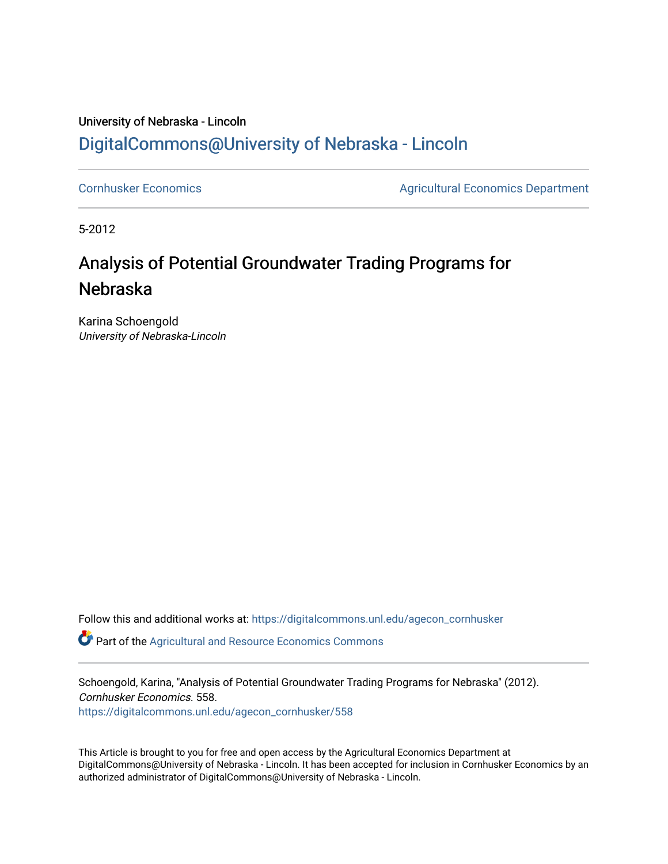### University of Nebraska - Lincoln [DigitalCommons@University of Nebraska - Lincoln](https://digitalcommons.unl.edu/)

[Cornhusker Economics](https://digitalcommons.unl.edu/agecon_cornhusker) **Agricultural Economics** Department

5-2012

## Analysis of Potential Groundwater Trading Programs for Nebraska

Karina Schoengold University of Nebraska-Lincoln

Follow this and additional works at: [https://digitalcommons.unl.edu/agecon\\_cornhusker](https://digitalcommons.unl.edu/agecon_cornhusker?utm_source=digitalcommons.unl.edu%2Fagecon_cornhusker%2F558&utm_medium=PDF&utm_campaign=PDFCoverPages) 

**P** Part of the Agricultural and Resource Economics Commons

Schoengold, Karina, "Analysis of Potential Groundwater Trading Programs for Nebraska" (2012). Cornhusker Economics. 558.

[https://digitalcommons.unl.edu/agecon\\_cornhusker/558](https://digitalcommons.unl.edu/agecon_cornhusker/558?utm_source=digitalcommons.unl.edu%2Fagecon_cornhusker%2F558&utm_medium=PDF&utm_campaign=PDFCoverPages) 

This Article is brought to you for free and open access by the Agricultural Economics Department at DigitalCommons@University of Nebraska - Lincoln. It has been accepted for inclusion in Cornhusker Economics by an authorized administrator of DigitalCommons@University of Nebraska - Lincoln.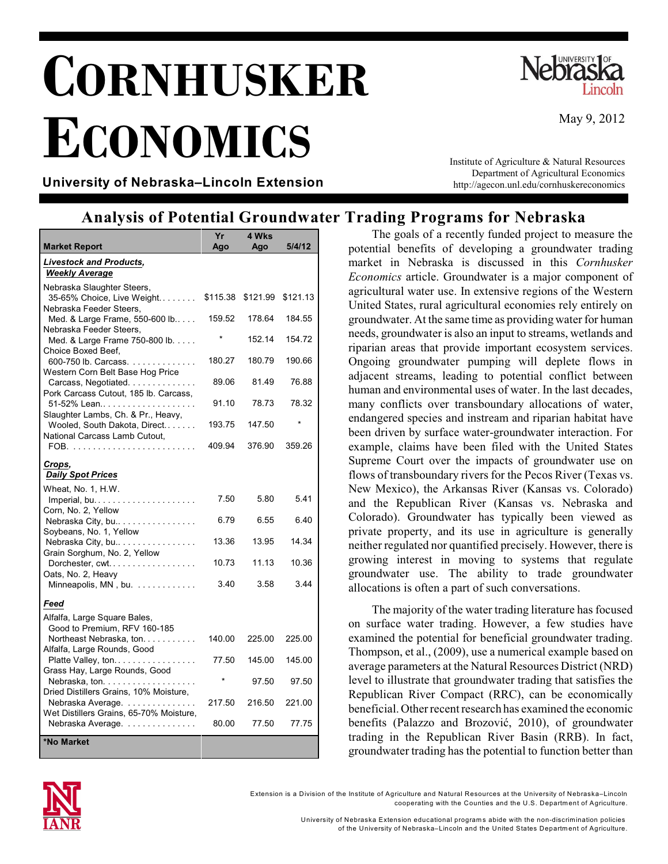# **CORNHUSKER ECONOMICS**



May 9, 2012

**University of Nebraska–Lincoln Extension**

Institute of Agriculture & Natural Resources Department of Agricultural Economics http://agecon.unl.edu/cornhuskereconomics

### **Analysis of Potential Groundwater Trading Programs for Nebraska**

|                                                                                 | Yr       | 4 Wks    |          |
|---------------------------------------------------------------------------------|----------|----------|----------|
| Market Report                                                                   | Ago      | Ago      | 5/4/12   |
| <b>Livestock and Products,</b><br><b>Weekly Average</b>                         |          |          |          |
| Nebraska Slaughter Steers,<br>35-65% Choice, Live Weight                        | \$115.38 | \$121.99 | \$121.13 |
| Nebraska Feeder Steers,<br>Med. & Large Frame, 550-600 lb                       | 159.52   | 178.64   | 184.55   |
| Nebraska Feeder Steers,<br>Med. & Large Frame 750-800 lb.<br>Choice Boxed Beef. |          | 152.14   | 154.72   |
| 600-750 lb. Carcass.<br>Western Corn Belt Base Hog Price                        | 180.27   | 180.79   | 190.66   |
| Carcass, Negotiated.<br>Pork Carcass Cutout, 185 lb. Carcass,                   | 89.06    | 81.49    | 76.88    |
| Slaughter Lambs, Ch. & Pr., Heavy,                                              | 91.10    | 78.73    | 78.32    |
| Wooled, South Dakota, Direct<br>National Carcass Lamb Cutout,                   | 193.75   | 147.50   |          |
|                                                                                 | 409.94   | 376.90   | 359.26   |
| Crops,<br><b>Daily Spot Prices</b>                                              |          |          |          |
| Wheat, No. 1, H.W.<br>Imperial, bu                                              | 7.50     | 5.80     | 5.41     |
| Corn, No. 2, Yellow<br>Nebraska City, bu<br>Soybeans, No. 1, Yellow             | 6.79     | 6.55     | 6.40     |
| Nebraska City, bu<br>Grain Sorghum, No. 2, Yellow                               | 13.36    | 13.95    | 14.34    |
| Dorchester, cwt<br>Oats, No. 2, Heavy                                           | 10.73    | 11.13    | 10.36    |
| Minneapolis, MN, bu.                                                            | 3.40     | 3.58     | 3.44     |
| Feed                                                                            |          |          |          |
| Alfalfa, Large Square Bales,<br>Good to Premium, RFV 160-185                    |          |          |          |
| Northeast Nebraska, ton.<br>Alfalfa, Large Rounds, Good                         | 140.00   | 225.00   | 225.00   |
| Platte Valley, ton<br>Grass Hay, Large Rounds, Good                             | 77.50    | 145.00   | 145.00   |
| Nebraska, ton.<br>Dried Distillers Grains, 10% Moisture,                        |          | 97.50    | 97.50    |
| Nebraska Average.<br>Wet Distillers Grains, 65-70% Moisture,                    | 217.50   | 216.50   | 221.00   |
| Nebraska Average.                                                               | 80.00    | 77.50    | 77.75    |
| *No Market                                                                      |          |          |          |

The goals of a recently funded project to measure the potential benefits of developing a groundwater trading market in Nebraska is discussed in this *Cornhusker Economics* article. Groundwater is a major component of agricultural water use. In extensive regions of the Western United States, rural agricultural economies rely entirely on groundwater. At the same time as providing water for human needs, groundwater is also an input to streams, wetlands and riparian areas that provide important ecosystem services. Ongoing groundwater pumping will deplete flows in adjacent streams, leading to potential conflict between human and environmental uses of water. In the last decades, many conflicts over transboundary allocations of water, endangered species and instream and riparian habitat have been driven by surface water-groundwater interaction. For example, claims have been filed with the United States Supreme Court over the impacts of groundwater use on flows of transboundary rivers for the Pecos River (Texas vs. New Mexico), the Arkansas River (Kansas vs. Colorado) and the Republican River (Kansas vs. Nebraska and Colorado). Groundwater has typically been viewed as private property, and its use in agriculture is generally neither regulated nor quantified precisely. However, there is growing interest in moving to systems that regulate groundwater use. The ability to trade groundwater allocations is often a part of such conversations.

The majority of the water trading literature has focused on surface water trading. However, a few studies have examined the potential for beneficial groundwater trading. Thompson, et al., (2009), use a numerical example based on average parameters at the Natural Resources District (NRD) level to illustrate that groundwater trading that satisfies the Republican River Compact (RRC), can be economically beneficial. Other recent research has examined the economic benefits (Palazzo and Brozović, 2010), of groundwater trading in the Republican River Basin (RRB). In fact, groundwater trading has the potential to function better than



Extension is a Division of the Institute of Agriculture and Natural Resources at the University of Nebraska–Lincoln cooperating with the Counties and the U.S. Departm ent of Agriculture.

> University of Nebraska Extension educational program s abide with the non-discrim ination policies of the University of Nebraska–Lincoln and the United States Departm ent of Agriculture.